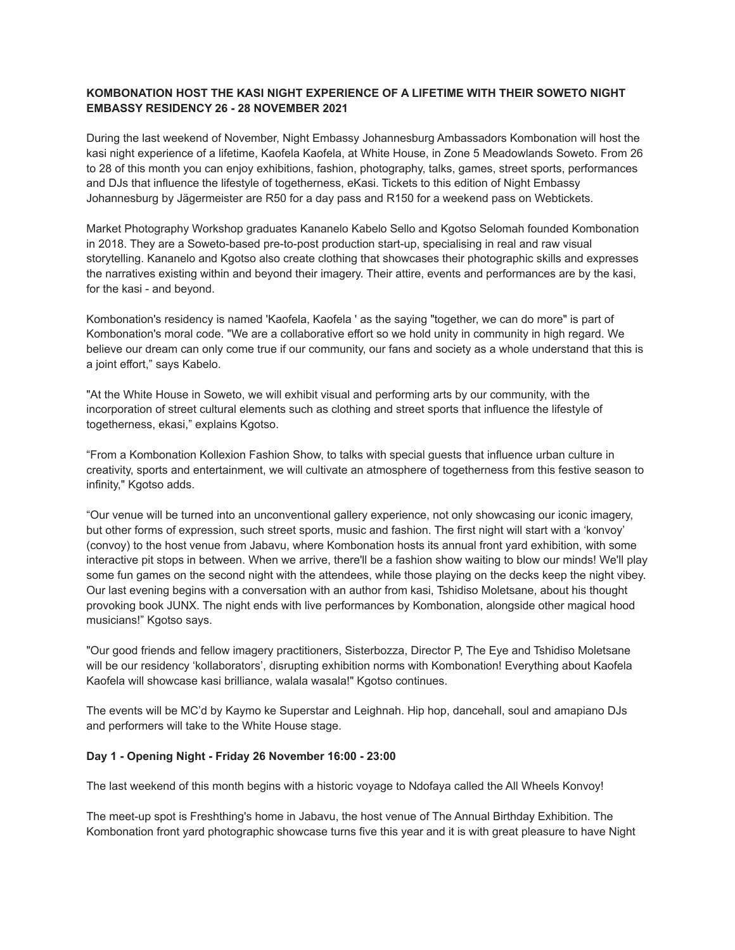# **KOMBONATION HOST THE KASI NIGHT EXPERIENCE OF A LIFETIME WITH THEIR SOWETO NIGHT EMBASSY RESIDENCY 26 - 28 NOVEMBER 2021**

During the last weekend of November, Night Embassy Johannesburg Ambassadors Kombonation will host the kasi night experience of a lifetime, Kaofela Kaofela, at White House, in Zone 5 Meadowlands Soweto. From 26 to 28 of this month you can enjoy exhibitions, fashion, photography, talks, games, street sports, performances and DJs that influence the lifestyle of togetherness, eKasi. Tickets to this edition of Night Embassy Johannesburg by Jägermeister are R50 for a day pass and R150 for a weekend pass on Webtickets.

Market Photography Workshop graduates Kananelo Kabelo Sello and Kgotso Selomah founded Kombonation in 2018. They are a Soweto-based pre-to-post production start-up, specialising in real and raw visual storytelling. Kananelo and Kgotso also create clothing that showcases their photographic skills and expresses the narratives existing within and beyond their imagery. Their attire, events and performances are by the kasi, for the kasi - and beyond.

Kombonation's residency is named 'Kaofela, Kaofela ' as the saying "together, we can do more" is part of Kombonation's moral code. "We are a collaborative effort so we hold unity in community in high regard. We believe our dream can only come true if our community, our fans and society as a whole understand that this is a joint effort," says Kabelo.

"At the White House in Soweto, we will exhibit visual and performing arts by our community, with the incorporation of street cultural elements such as clothing and street sports that influence the lifestyle of togetherness, ekasi," explains Kgotso.

"From a Kombonation Kollexion Fashion Show, to talks with special guests that influence urban culture in creativity, sports and entertainment, we will cultivate an atmosphere of togetherness from this festive season to infinity," Kgotso adds.

"Our venue will be turned into an unconventional gallery experience, not only showcasing our iconic imagery, but other forms of expression, such street sports, music and fashion. The first night will start with a 'konvoy' (convoy) to the host venue from Jabavu, where Kombonation hosts its annual front yard exhibition, with some interactive pit stops in between. When we arrive, there'll be a fashion show waiting to blow our minds! We'll play some fun games on the second night with the attendees, while those playing on the decks keep the night vibey. Our last evening begins with a conversation with an author from kasi, Tshidiso Moletsane, about his thought provoking book JUNX. The night ends with live performances by Kombonation, alongside other magical hood musicians!" Kgotso says.

"Our good friends and fellow imagery practitioners, Sisterbozza, Director P, The Eye and Tshidiso Moletsane will be our residency 'kollaborators', disrupting exhibition norms with Kombonation! Everything about Kaofela Kaofela will showcase kasi brilliance, walala wasala!" Kgotso continues.

The events will be MC'd by Kaymo ke Superstar and Leighnah. Hip hop, dancehall, soul and amapiano DJs and performers will take to the White House stage.

#### **Day 1 - Opening Night - Friday 26 November 16:00 - 23:00**

The last weekend of this month begins with a historic voyage to Ndofaya called the All Wheels Konvoy!

The meet-up spot is Freshthing's home in Jabavu, the host venue of The Annual Birthday Exhibition. The Kombonation front yard photographic showcase turns five this year and it is with great pleasure to have Night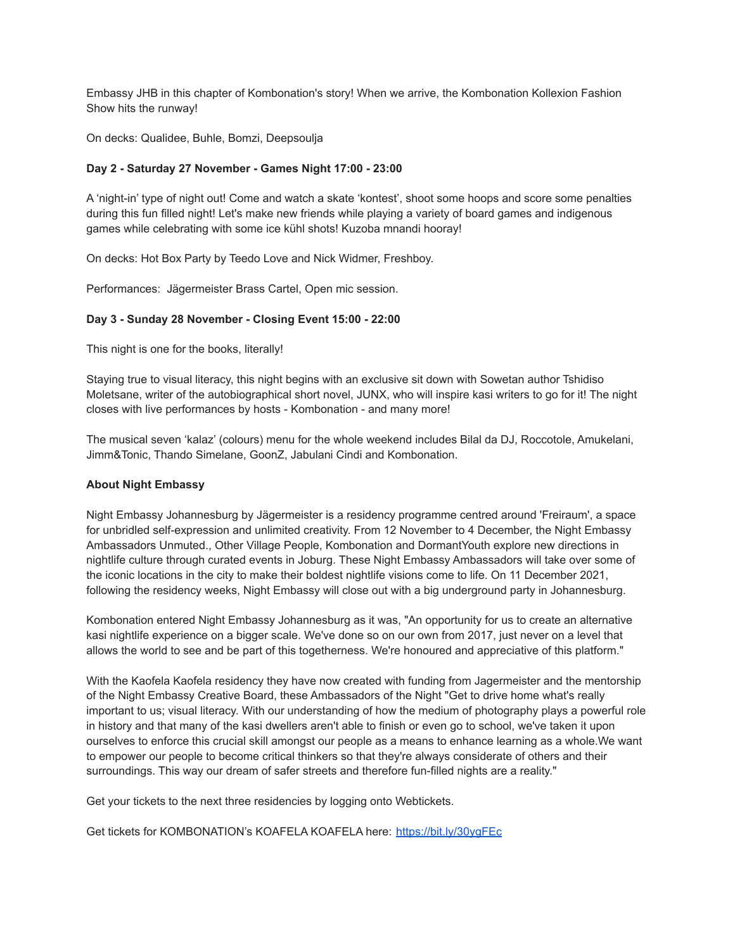Embassy JHB in this chapter of Kombonation's story! When we arrive, the Kombonation Kollexion Fashion Show hits the runway!

On decks: Qualidee, Buhle, Bomzi, Deepsoulja

### **Day 2 - Saturday 27 November - Games Night 17:00 - 23:00**

A 'night-in' type of night out! Come and watch a skate 'kontest', shoot some hoops and score some penalties during this fun filled night! Let's make new friends while playing a variety of board games and indigenous games while celebrating with some ice kühl shots! Kuzoba mnandi hooray!

On decks: Hot Box Party by Teedo Love and Nick Widmer, Freshboy.

Performances: Jägermeister Brass Cartel, Open mic session.

#### **Day 3 - Sunday 28 November - Closing Event 15:00 - 22:00**

This night is one for the books, literally!

Staying true to visual literacy, this night begins with an exclusive sit down with Sowetan author Tshidiso Moletsane, writer of the autobiographical short novel, JUNX, who will inspire kasi writers to go for it! The night closes with live performances by hosts - Kombonation - and many more!

The musical seven 'kalaz' (colours) menu for the whole weekend includes Bilal da DJ, Roccotole, Amukelani, Jimm&Tonic, Thando Simelane, GoonZ, Jabulani Cindi and Kombonation.

#### **About Night Embassy**

Night Embassy Johannesburg by Jägermeister is a residency programme centred around 'Freiraum', a space for unbridled self-expression and unlimited creativity. From 12 November to 4 December, the Night Embassy Ambassadors Unmuted., Other Village People, Kombonation and DormantYouth explore new directions in nightlife culture through curated events in Joburg. These Night Embassy Ambassadors will take over some of the iconic locations in the city to make their boldest nightlife visions come to life. On 11 December 2021, following the residency weeks, Night Embassy will close out with a big underground party in Johannesburg.

Kombonation entered Night Embassy Johannesburg as it was, "An opportunity for us to create an alternative kasi nightlife experience on a bigger scale. We've done so on our own from 2017, just never on a level that allows the world to see and be part of this togetherness. We're honoured and appreciative of this platform."

With the Kaofela Kaofela residency they have now created with funding from Jagermeister and the mentorship of the Night Embassy Creative Board, these Ambassadors of the Night "Get to drive home what's really important to us; visual literacy. With our understanding of how the medium of photography plays a powerful role in history and that many of the kasi dwellers aren't able to finish or even go to school, we've taken it upon ourselves to enforce this crucial skill amongst our people as a means to enhance learning as a whole.We want to empower our people to become critical thinkers so that they're always considerate of others and their surroundings. This way our dream of safer streets and therefore fun-filled nights are a reality."

Get your tickets to the next three residencies by logging onto Webtickets.

Get tickets for KOMBONATION's KOAFELA KOAFELA here: <https://bit.ly/30ygFEc>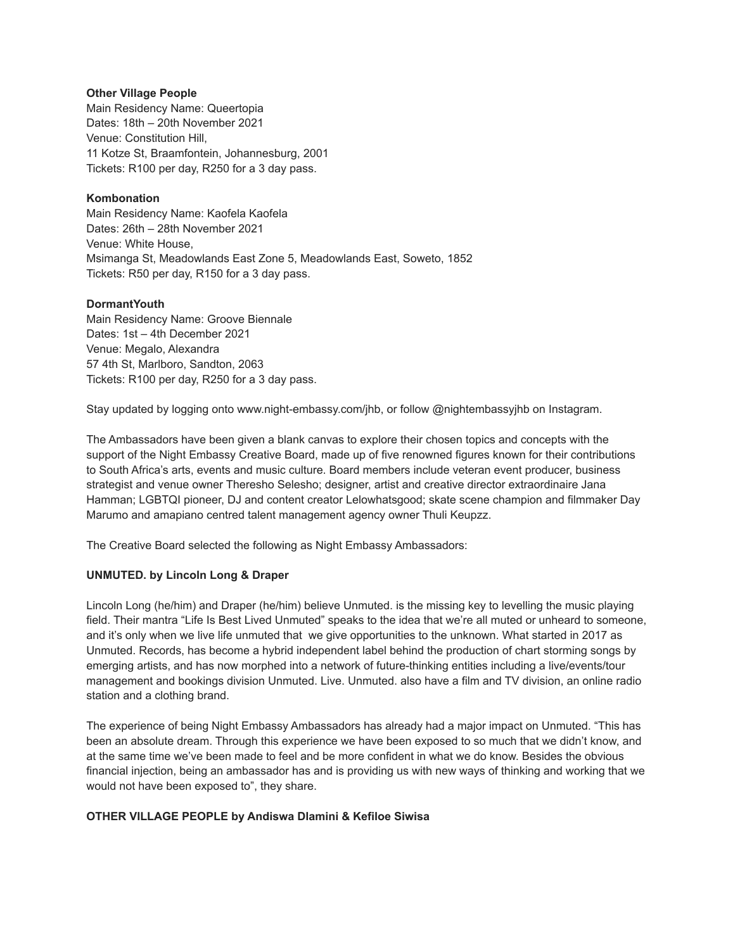#### **Other Village People**

Main Residency Name: Queertopia Dates: 18th – 20th November 2021 Venue: Constitution Hill, 11 Kotze St, Braamfontein, Johannesburg, 2001 Tickets: R100 per day, R250 for a 3 day pass.

### **Kombonation**

Main Residency Name: Kaofela Kaofela Dates: 26th – 28th November 2021 Venue: White House, Msimanga St, Meadowlands East Zone 5, Meadowlands East, Soweto, 1852 Tickets: R50 per day, R150 for a 3 day pass.

#### **DormantYouth**

Main Residency Name: Groove Biennale Dates: 1st – 4th December 2021 Venue: Megalo, Alexandra 57 4th St, Marlboro, Sandton, 2063 Tickets: R100 per day, R250 for a 3 day pass.

Stay updated by logging onto www.night-embassy.com/jhb, or follow @nightembassyjhb on Instagram.

The Ambassadors have been given a blank canvas to explore their chosen topics and concepts with the support of the Night Embassy Creative Board, made up of five renowned figures known for their contributions to South Africa's arts, events and music culture. Board members include veteran event producer, business strategist and venue owner Theresho Selesho; designer, artist and creative director extraordinaire Jana Hamman; LGBTQI pioneer, DJ and content creator Lelowhatsgood; skate scene champion and filmmaker Day Marumo and amapiano centred talent management agency owner Thuli Keupzz.

The Creative Board selected the following as Night Embassy Ambassadors:

#### **UNMUTED. by Lincoln Long & Draper**

Lincoln Long (he/him) and Draper (he/him) believe Unmuted. is the missing key to levelling the music playing field. Their mantra "Life Is Best Lived Unmuted" speaks to the idea that we're all muted or unheard to someone, and it's only when we live life unmuted that we give opportunities to the unknown. What started in 2017 as Unmuted. Records, has become a hybrid independent label behind the production of chart storming songs by emerging artists, and has now morphed into a network of future-thinking entities including a live/events/tour management and bookings division Unmuted. Live. Unmuted. also have a film and TV division, an online radio station and a clothing brand.

The experience of being Night Embassy Ambassadors has already had a major impact on Unmuted. "This has been an absolute dream. Through this experience we have been exposed to so much that we didn't know, and at the same time we've been made to feel and be more confident in what we do know. Besides the obvious financial injection, being an ambassador has and is providing us with new ways of thinking and working that we would not have been exposed to", they share.

#### **OTHER VILLAGE PEOPLE by Andiswa Dlamini & Kefiloe Siwisa**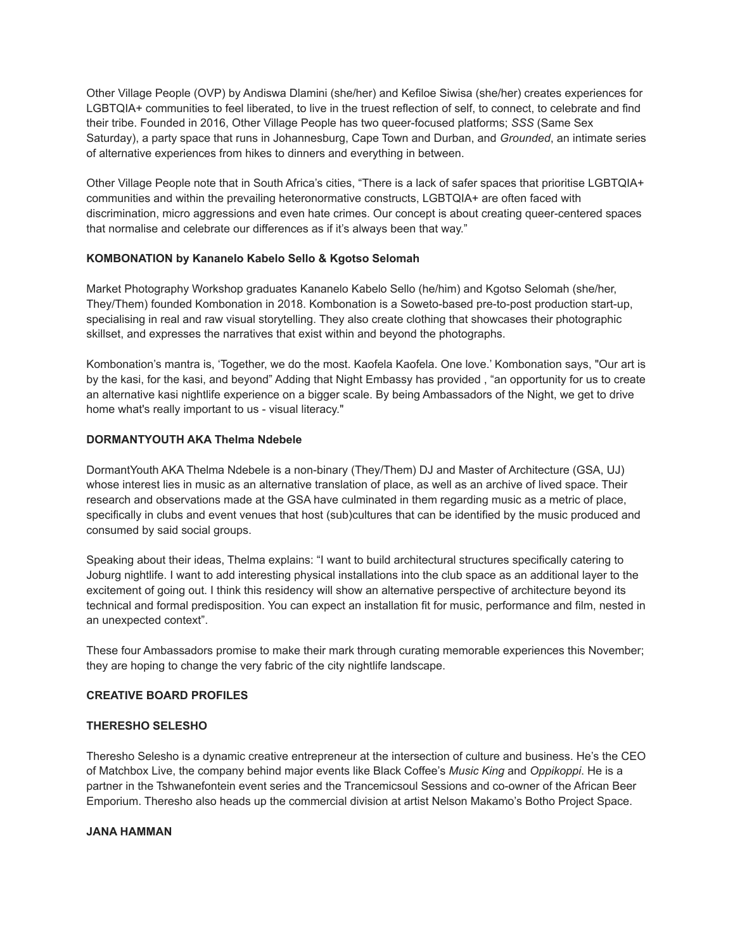Other Village People (OVP) by Andiswa Dlamini (she/her) and Kefiloe Siwisa (she/her) creates experiences for LGBTQIA+ communities to feel liberated, to live in the truest reflection of self, to connect, to celebrate and find their tribe. Founded in 2016, Other Village People has two queer-focused platforms; *SSS* (Same Sex Saturday), a party space that runs in Johannesburg, Cape Town and Durban, and *Grounded*, an intimate series of alternative experiences from hikes to dinners and everything in between.

Other Village People note that in South Africa's cities, "There is a lack of safer spaces that prioritise LGBTQIA+ communities and within the prevailing heteronormative constructs, LGBTQIA+ are often faced with discrimination, micro aggressions and even hate crimes. Our concept is about creating queer-centered spaces that normalise and celebrate our differences as if it's always been that way."

## **KOMBONATION by Kananelo Kabelo Sello & Kgotso Selomah**

Market Photography Workshop graduates Kananelo Kabelo Sello (he/him) and Kgotso Selomah (she/her, They/Them) founded Kombonation in 2018. Kombonation is a Soweto-based pre-to-post production start-up, specialising in real and raw visual storytelling. They also create clothing that showcases their photographic skillset, and expresses the narratives that exist within and beyond the photographs.

Kombonation's mantra is, 'Together, we do the most. Kaofela Kaofela. One love.' Kombonation says, "Our art is by the kasi, for the kasi, and beyond" Adding that Night Embassy has provided , "an opportunity for us to create an alternative kasi nightlife experience on a bigger scale. By being Ambassadors of the Night, we get to drive home what's really important to us - visual literacy."

#### **DORMANTYOUTH AKA Thelma Ndebele**

DormantYouth AKA Thelma Ndebele is a non-binary (They/Them) DJ and Master of Architecture (GSA, UJ) whose interest lies in music as an alternative translation of place, as well as an archive of lived space. Their research and observations made at the GSA have culminated in them regarding music as a metric of place, specifically in clubs and event venues that host (sub)cultures that can be identified by the music produced and consumed by said social groups.

Speaking about their ideas, Thelma explains: "I want to build architectural structures specifically catering to Joburg nightlife. I want to add interesting physical installations into the club space as an additional layer to the excitement of going out. I think this residency will show an alternative perspective of architecture beyond its technical and formal predisposition. You can expect an installation fit for music, performance and film, nested in an unexpected context".

These four Ambassadors promise to make their mark through curating memorable experiences this November; they are hoping to change the very fabric of the city nightlife landscape.

#### **CREATIVE BOARD PROFILES**

#### **THERESHO SELESHO**

Theresho Selesho is a dynamic creative entrepreneur at the intersection of culture and business. He's the CEO of Matchbox Live, the company behind major events like Black Coffee's *Music King* and *Oppikoppi*. He is a partner in the Tshwanefontein event series and the Trancemicsoul Sessions and co-owner of the African Beer Emporium. Theresho also heads up the commercial division at artist Nelson Makamo's Botho Project Space.

#### **JANA HAMMAN**